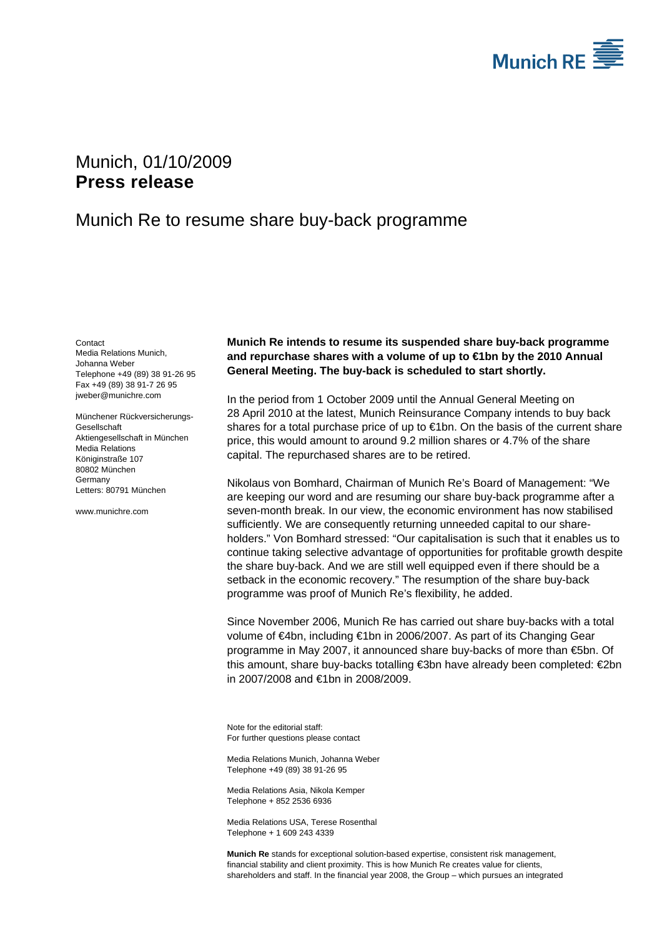

## <span id="page-0-2"></span>Munich, 01/10/2009 **Press release**

## Munich Re to resume share buy-back programme

<span id="page-0-1"></span><span id="page-0-0"></span>**Contact** Media Relations Munich, Johanna Weber Telephone +49 (89) 38 91-26 95 Fax +49 (89) 38 91-7 26 95 jweber@munichre.com

Münchener Rückversicherungs-Gesellschaft Aktiengesellschaft in München Media Relations Königinstraße 107 80802 München **Germany** Letters: 80791 München

www.munichre.com

**Munich Re intends to resume its suspended share buy-back programme and repurchase shares with a volume of up to €1bn by the 2010 Annual General Meeting. The buy-back is scheduled to start shortly.** 

In the period from 1 October 2009 until the Annual General Meeting on 28 April 2010 at the latest, Munich Reinsurance Company intends to buy back shares for a total purchase price of up to €1bn. On the basis of the current share price, this would amount to around 9.2 million shares or 4.7% of the share capital. The repurchased shares are to be retired.

Nikolaus von Bomhard, Chairman of Munich Re's Board of Management: "We are keeping our word and are resuming our share buy-back programme after a seven-month break. In our view, the economic environment has now stabilised sufficiently. We are consequently returning unneeded capital to our shareholders." Von Bomhard stressed: "Our capitalisation is such that it enables us to continue taking selective advantage of opportunities for profitable growth despite the share buy-back. And we are still well equipped even if there should be a setback in the economic recovery." The resumption of the share buy-back programme was proof of Munich Re's flexibility, he added.

Since November 2006, Munich Re has carried out share buy-backs with a total volume of €4bn, including €1bn in 2006/2007. As part of its Changing Gear programme in May 2007, it announced share buy-backs of more than €5bn. Of this amount, share buy-backs totalling €3bn have already been completed: €2bn in 2007/2008 and €1bn in 2008/2009.

Note for the editorial staff: For further questions please contact

Media Relations Munich, [Johanna Weber](#page-0-0)  Telephone +49 (89) 38 91[-26 95](#page-0-1)

Media Relations Asia, Nikola Kemper Telephone + 852 2536 6936

Media Relations USA, Terese Rosenthal Telephone + 1 609 243 4339

**Munich Re** stands for exceptional solution-based expertise, consistent risk management, financial stability and client proximity. This is how Munich Re creates value for clients, shareholders and staff. In the financial year 2008, the Group – which pursues an integrated